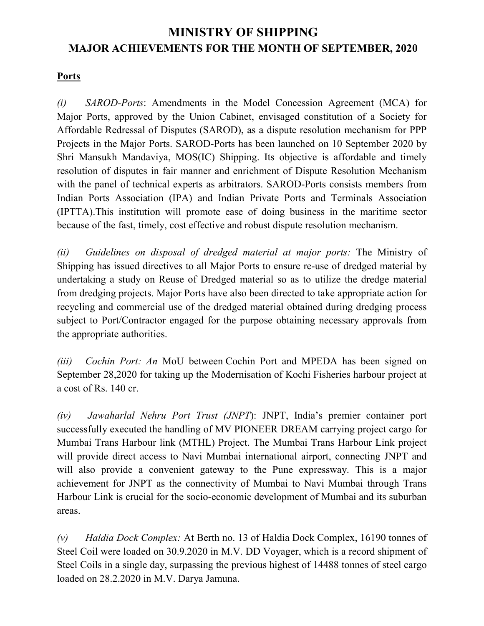# **MINISTRY OF SHIPPING MAJOR ACHIEVEMENTS FOR THE MONTH OF SEPTEMBER, 2020**

#### **Ports**

*(i) SAROD-Ports*: Amendments in the Model Concession Agreement (MCA) for Major Ports, approved by the Union Cabinet, envisaged constitution of a Society for Affordable Redressal of Disputes (SAROD), as a dispute resolution mechanism for PPP Projects in the Major Ports. SAROD-Ports has been launched on 10 September 2020 by Shri Mansukh Mandaviya, MOS(IC) Shipping. Its objective is affordable and timely resolution of disputes in fair manner and enrichment of Dispute Resolution Mechanism with the panel of technical experts as arbitrators. SAROD-Ports consists members from Indian Ports Association (IPA) and Indian Private Ports and Terminals Association (IPTTA).This institution will promote ease of doing business in the maritime sector because of the fast, timely, cost effective and robust dispute resolution mechanism.

*(ii) Guidelines on disposal of dredged material at major ports:* The Ministry of Shipping has issued directives to all Major Ports to ensure re-use of dredged material by undertaking a study on Reuse of Dredged material so as to utilize the dredge material from dredging projects. Major Ports have also been directed to take appropriate action for recycling and commercial use of the dredged material obtained during dredging process subject to Port/Contractor engaged for the purpose obtaining necessary approvals from the appropriate authorities.

*(iii) Cochin Port: An* MoU between Cochin Port and MPEDA has been signed on September 28,2020 for taking up the Modernisation of Kochi Fisheries harbour project at a cost of Rs. 140 cr.

*(iv) Jawaharlal Nehru Port Trust (JNPT*): JNPT, India's premier container port successfully executed the handling of MV PIONEER DREAM carrying project cargo for Mumbai Trans Harbour link (MTHL) Project. The Mumbai Trans Harbour Link project will provide direct access to Navi Mumbai international airport, connecting JNPT and will also provide a convenient gateway to the Pune expressway. This is a major achievement for JNPT as the connectivity of Mumbai to Navi Mumbai through Trans Harbour Link is crucial for the socio-economic development of Mumbai and its suburban areas.

*(v) Haldia Dock Complex:* At Berth no. 13 of Haldia Dock Complex, 16190 tonnes of Steel Coil were loaded on 30.9.2020 in M.V. DD Voyager, which is a record shipment of Steel Coils in a single day, surpassing the previous highest of 14488 tonnes of steel cargo loaded on 28.2.2020 in M.V. Darya Jamuna.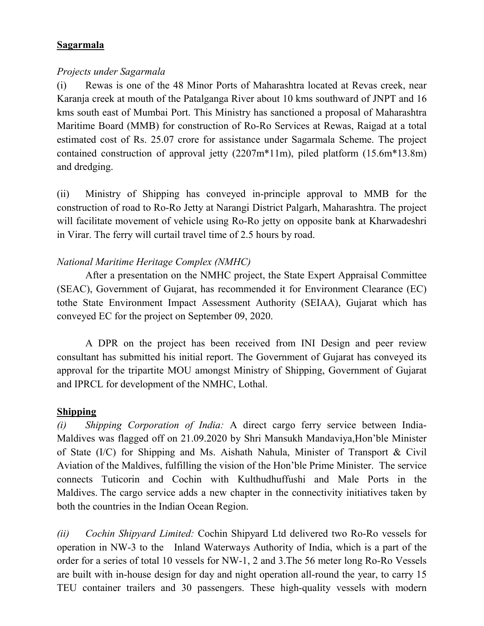#### **Sagarmala**

#### *Projects under Sagarmala*

(i) Rewas is one of the 48 Minor Ports of Maharashtra located at Revas creek, near Karanja creek at mouth of the Patalganga River about 10 kms southward of JNPT and 16 kms south east of Mumbai Port. This Ministry has sanctioned a proposal of Maharashtra Maritime Board (MMB) for construction of Ro-Ro Services at Rewas, Raigad at a total estimated cost of Rs. 25.07 crore for assistance under Sagarmala Scheme. The project contained construction of approval jetty (2207m\*11m), piled platform (15.6m\*13.8m) and dredging.

(ii) Ministry of Shipping has conveyed in-principle approval to MMB for the construction of road to Ro-Ro Jetty at Narangi District Palgarh, Maharashtra. The project will facilitate movement of vehicle using Ro-Ro jetty on opposite bank at Kharwadeshri in Virar. The ferry will curtail travel time of 2.5 hours by road.

# *National Maritime Heritage Complex (NMHC)*

After a presentation on the NMHC project, the State Expert Appraisal Committee (SEAC), Government of Gujarat, has recommended it for Environment Clearance (EC) tothe State Environment Impact Assessment Authority (SEIAA), Gujarat which has conveyed EC for the project on September 09, 2020.

A DPR on the project has been received from INI Design and peer review consultant has submitted his initial report. The Government of Gujarat has conveyed its approval for the tripartite MOU amongst Ministry of Shipping, Government of Gujarat and IPRCL for development of the NMHC, Lothal.

### **Shipping**

*(i) Shipping Corporation of India:* A direct cargo ferry service between India-Maldives was flagged off on 21.09.2020 by Shri Mansukh Mandaviya,Hon'ble Minister of State (I/C) for Shipping and Ms. Aishath Nahula, Minister of Transport & Civil Aviation of the Maldives, fulfilling the vision of the Hon'ble Prime Minister. The service connects Tuticorin and Cochin with Kulthudhuffushi and Male Ports in the Maldives. The cargo service adds a new chapter in the connectivity initiatives taken by both the countries in the Indian Ocean Region.

*(ii) Cochin Shipyard Limited:* Cochin Shipyard Ltd delivered two Ro-Ro vessels for operation in NW-3 to the Inland Waterways Authority of India, which is a part of the order for a series of total 10 vessels for NW-1, 2 and 3.The 56 meter long Ro-Ro Vessels are built with in-house design for day and night operation all-round the year, to carry 15 TEU container trailers and 30 passengers. These high-quality vessels with modern